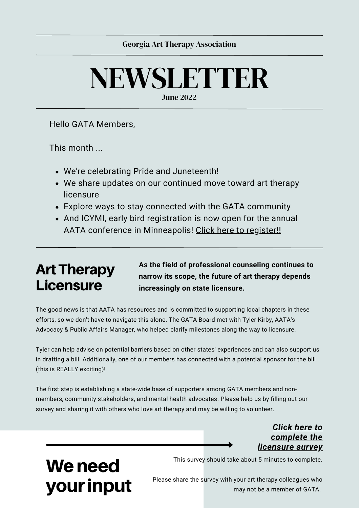# NEWSLETTER

June 2022

Hello GATA Members,

This month ...

- We're celebrating Pride and Juneteenth!
- We share updates on our continued move toward art therapy licensure
- Explore ways to stay connected with the GATA community
- And ICYMI, early bird registration is now open for the annual AATA conference in [Minneapolis!](https://arttherapy.org/annual-conferences/) Click here to [register!!](https://arttherapy.org/annual-conferences/)

### **Art Therapy** Licensure

We need

your input

**As the field of professional counseling continues to narrow its scope, the future of art therapy depends increasingly on state licensure.**

The good news is that AATA has resources and is committed to supporting local chapters in these efforts, so we don't have to navigate this alone. The GATA Board met with Tyler Kirby, AATA's Advocacy & Public Affairs Manager, who helped clarify milestones along the way to licensure.

Tyler can help advise on potential barriers based on other states' experiences and can also support us in drafting a bill. Additionally, one of our members has connected with a potential sponsor for the bill (this is REALLY exciting)!

The first step is establishing a state-wide base of supporters among GATA members and nonmembers, community stakeholders, and mental health advocates. Please help us by filling out our survey and sharing it with others who love art therapy and may be willing to volunteer.

#### *Click here to [complete](https://forms.gle/hFapam5zynA6EyCU6) the licensure survey*

This survey should take about 5 minutes to complete.

Please share the survey with your art therapy colleagues who may not be a member of GATA.